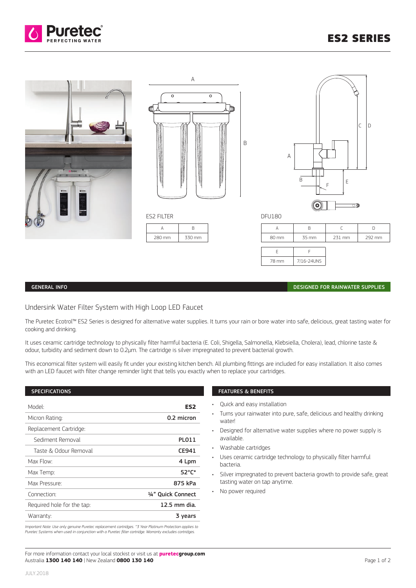



# GENERAL INFO DESIGNED FOR RAINWATER SUPPLIES

# Undersink Water Filter System with High Loop LED Faucet

The Puretec Ecotrol™ ES2 Series is designed for alternative water supplies. It turns your rain or bore water into safe, delicious, great tasting water for cooking and drinking.

It uses ceramic cartridge technology to physically filter harmful bacteria (E. Coli, Shigella, Salmonella, Klebsiella, Cholera), lead, chlorine taste & odour, turbidity and sediment down to 0.2μm. The cartridge is silver impregnated to prevent bacterial growth.

This economical filter system will easily fit under your existing kitchen bench. All plumbing fittings are included for easy installation. It also comes with an LED faucet with filter change reminder light that tells you exactly when to replace your cartridges.

# SPECIFICATIONS

| Model <sup>.</sup>         | ES2                |
|----------------------------|--------------------|
| Micron Rating:             | 0.2 micron         |
| Replacement Cartridge:     |                    |
| Sediment Removal           | PLO11              |
| Taste & Odour Removal      | CE941              |
| Max Flow:                  | 4 Lpm              |
| Max Temp:                  | 52°C*              |
| Max Pressure:              | 875 kPa            |
| Connection:                | 1/4" Quick Connect |
| Required hole for the tap: | 12.5 mm dia.       |
| Warranty:                  | 3 years            |

*Important Note: Use only genuine Puretec replacement cartridges. ^3 Year Platinum Protection applies to Puretec Systems when used in conjunction with a Puretec filter cartridge. Warranty excludes cartridges.*

### FEATURES & BENEFITS

- Quick and easy installation
- Turns your rainwater into pure, safe, delicious and healthy drinking water!
- Designed for alternative water supplies where no power supply is available.
- Washable cartridges
- Uses ceramic cartridge technology to physically filter harmful bacteria.
- Silver impregnated to prevent bacteria growth to provide safe, great tasting water on tap anytime.
- No power required